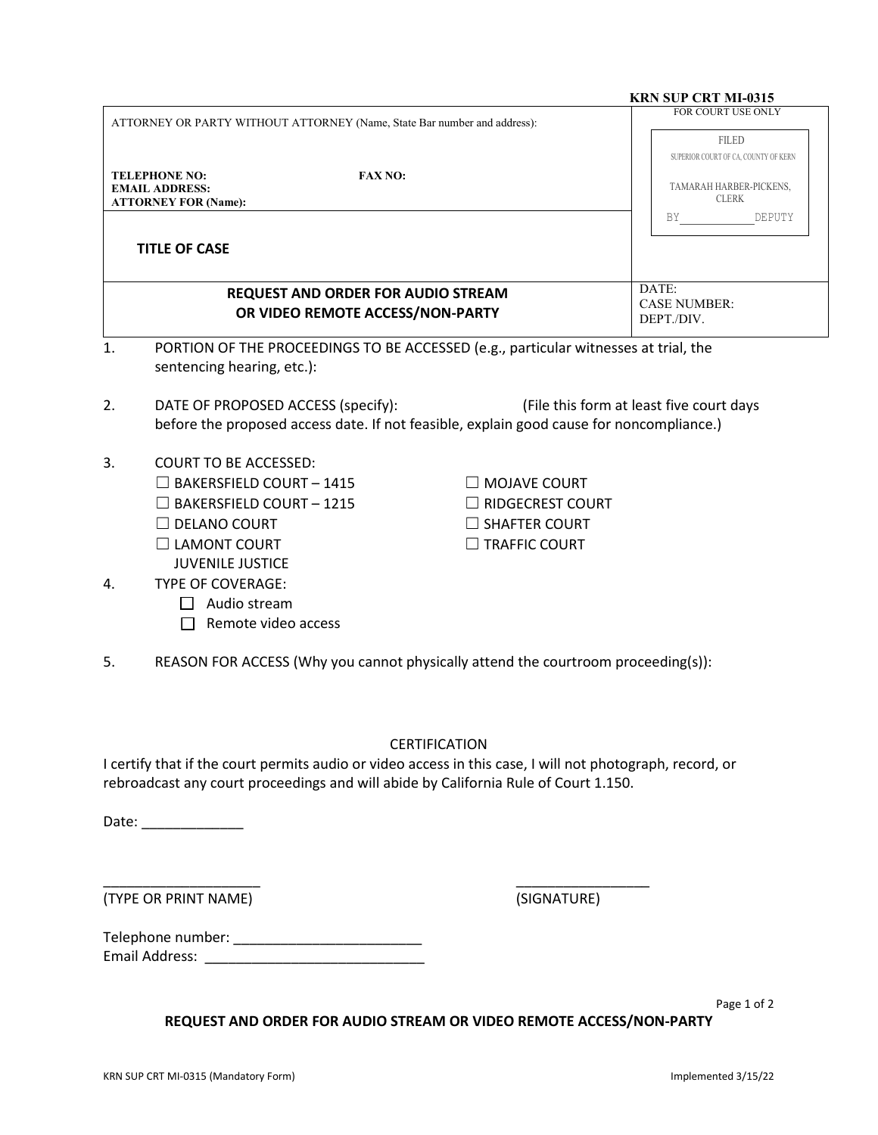|                                                                                                                               |                                                                                                | <b>KRN SUP CRT MI-0315</b>                                                                                                                                                                                                                                                                                                                                                                                                                                                                                                                                                                                                                                    |
|-------------------------------------------------------------------------------------------------------------------------------|------------------------------------------------------------------------------------------------|---------------------------------------------------------------------------------------------------------------------------------------------------------------------------------------------------------------------------------------------------------------------------------------------------------------------------------------------------------------------------------------------------------------------------------------------------------------------------------------------------------------------------------------------------------------------------------------------------------------------------------------------------------------|
|                                                                                                                               |                                                                                                | FOR COURT USE ONLY                                                                                                                                                                                                                                                                                                                                                                                                                                                                                                                                                                                                                                            |
| <b>FAX NO:</b>                                                                                                                |                                                                                                | <b>FILED</b><br>SUPERIOR COURT OF CA, COUNTY OF KERN<br>TAMARAH HARBER-PICKENS,<br><b>CLERK</b><br>BY<br>DEPUTY                                                                                                                                                                                                                                                                                                                                                                                                                                                                                                                                               |
|                                                                                                                               |                                                                                                | DATE:                                                                                                                                                                                                                                                                                                                                                                                                                                                                                                                                                                                                                                                         |
|                                                                                                                               |                                                                                                | <b>CASE NUMBER:</b><br>DEPT./DIV.                                                                                                                                                                                                                                                                                                                                                                                                                                                                                                                                                                                                                             |
| sentencing hearing, etc.):                                                                                                    |                                                                                                |                                                                                                                                                                                                                                                                                                                                                                                                                                                                                                                                                                                                                                                               |
| DATE OF PROPOSED ACCESS (specify):                                                                                            |                                                                                                | (File this form at least five court days                                                                                                                                                                                                                                                                                                                                                                                                                                                                                                                                                                                                                      |
| <b>COURT TO BE ACCESSED:</b><br>$\Box$ BAKERSFIELD COURT - 1415<br>$\Box$ BAKERSFIELD COURT - 1215<br><b>JUVENILE JUSTICE</b> | $\Box$ MOJAVE COURT<br>$\Box$ RIDGECREST COURT<br>$\Box$ SHAFTER COURT<br>$\Box$ TRAFFIC COURT |                                                                                                                                                                                                                                                                                                                                                                                                                                                                                                                                                                                                                                                               |
| <b>TYPE OF COVERAGE:</b><br>$\Box$ Audio stream<br>Remote video access                                                        |                                                                                                |                                                                                                                                                                                                                                                                                                                                                                                                                                                                                                                                                                                                                                                               |
|                                                                                                                               |                                                                                                |                                                                                                                                                                                                                                                                                                                                                                                                                                                                                                                                                                                                                                                               |
|                                                                                                                               |                                                                                                |                                                                                                                                                                                                                                                                                                                                                                                                                                                                                                                                                                                                                                                               |
|                                                                                                                               | (SIGNATURE)                                                                                    |                                                                                                                                                                                                                                                                                                                                                                                                                                                                                                                                                                                                                                                               |
|                                                                                                                               |                                                                                                |                                                                                                                                                                                                                                                                                                                                                                                                                                                                                                                                                                                                                                                               |
|                                                                                                                               |                                                                                                | ATTORNEY OR PARTY WITHOUT ATTORNEY (Name, State Bar number and address):<br><b>REQUEST AND ORDER FOR AUDIO STREAM</b><br>OR VIDEO REMOTE ACCESS/NON-PARTY<br>PORTION OF THE PROCEEDINGS TO BE ACCESSED (e.g., particular witnesses at trial, the<br>before the proposed access date. If not feasible, explain good cause for noncompliance.)<br>REASON FOR ACCESS (Why you cannot physically attend the courtroom proceeding(s)):<br><b>CERTIFICATION</b><br>I certify that if the court permits audio or video access in this case, I will not photograph, record, or<br>rebroadcast any court proceedings and will abide by California Rule of Court 1.150. |